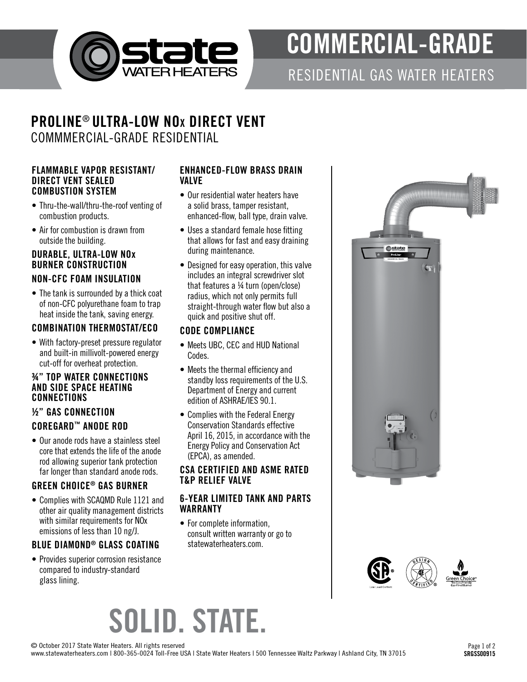

# COMMERCIAL-GRADE

RESIDENTIAL GAS WATER HEATERS

# PROLINE® ULTRA-LOW NO x DIRECT VENT COMMMERCIAL-GRADE RESIDENTIAL

#### FLAMMABLE VAPOR RESISTANT/ DIRECT VENT SEALED COMBUSTION SYSTEM

- Thru-the-wall/thru-the-roof venting of combustion products.
- Air for combustion is drawn from outside the building.

## DURABLE, ULTRA-LOW NO x BURNER CONSTRUCTION

# NON-CFC FOAM INSULATION

• The tank is surrounded by a thick coat of non-CFC polyurethane foam to trap heat inside the tank, saving energy.

### COMBINATION THERMOSTAT/ECO

• With factory-preset pressure regulator and built-in millivolt-powered energy cut-off for overheat protection.

#### ¾" TOP WATER CONNECTIONS AND SIDE SPACE HEATING CONNECTIONS

#### ½" GAS CONNECTION

### COREGARD ™ ANODE ROD

• Our anode rods have a stainless steel core that extends the life of the anode rod allowing superior tank protection far longer than standard anode rods.

# GREEN CHOICE ® GAS BURNER

• Complies with SCAQMD Rule 1121 and other air quality management districts with similar requirements for NOx emissions of less than 10 ng/J.

# BLUE DIAMOND ® GLASS COATING

• Provides superior corrosion resistance compared to industry-standard glass lining.

#### ENHANCED-FLOW BRASS DRAIN VALVE

- Our residential water heaters have a solid brass, tamper resistant, enhanced-flow, ball type, drain valve.
- Uses a standard female hose fitting that allows for fast and easy draining during maintenance.
- Designed for easy operation, this valve includes an integral screwdriver slot that features a ¼ turn (open/close) radius, which not only permits full straight-through water flow but also a quick and positive shut off.

### CODE COMPLIANCE

- Meets UBC, CEC and HUD National Codes.
- Meets the thermal efficiency and standby loss requirements of the U.S. Department of Energy and current edition of ASHRAE/IES 90.1.
- Complies with the Federal Energy Conservation Standards effective April 16, 2015, in accordance with the Energy Policy and Conservation Act (EPCA), as amended.

#### CSA CERTIFIED AND ASME RATED T&P RELIEF VALVE

#### 6-YEAR LIMITED TANK AND PARTS WARRANTY

• For complete information, consult written warranty or go to statewaterheaters.com.





# SOLID. STATE.